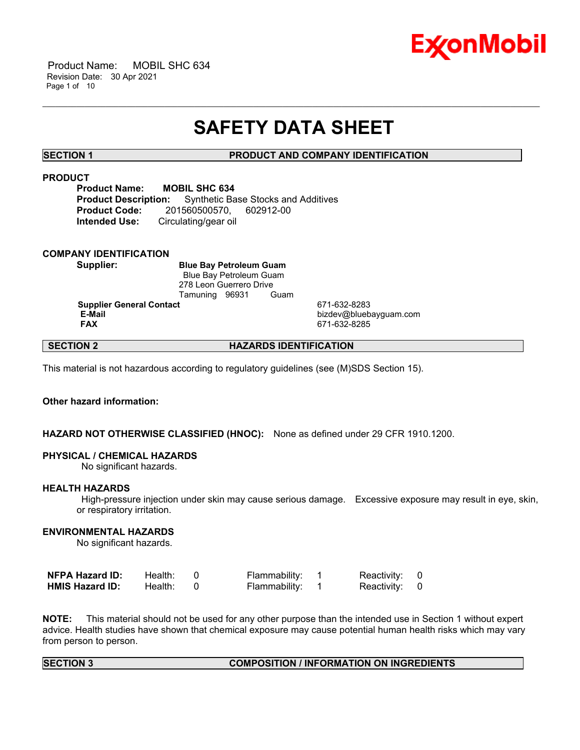

 Product Name: MOBIL SHC 634 Revision Date: 30 Apr 2021 Page 1 of 10

# **SAFETY DATA SHEET**

\_\_\_\_\_\_\_\_\_\_\_\_\_\_\_\_\_\_\_\_\_\_\_\_\_\_\_\_\_\_\_\_\_\_\_\_\_\_\_\_\_\_\_\_\_\_\_\_\_\_\_\_\_\_\_\_\_\_\_\_\_\_\_\_\_\_\_\_\_\_\_\_\_\_\_\_\_\_\_\_\_\_\_\_\_\_\_\_\_\_\_\_\_\_\_\_\_\_\_\_\_\_\_\_\_\_\_\_\_\_\_\_\_\_\_\_\_\_

**SECTION 1 PRODUCT AND COMPANY IDENTIFICATION**

#### **PRODUCT**

**Product Name: MOBIL SHC 634 Product Description:** Synthetic Base Stocks and Additives **Product Code:** 201560500570, 602912-00 **Intended Use:** Circulating/gear oil

#### **COMPANY IDENTIFICATION**

**Supplier: Blue Bay Petroleum Guam** Blue Bay Petroleum Guam 278 Leon Guerrero Drive Tamuning 96931 Guam

**Supplier General Contact** 671-632-8283

 **E-Mail** bizdev@bluebayguam.com  **FAX** 671-632-8285

### **SECTION 2 HAZARDS IDENTIFICATION**

This material is not hazardous according to regulatory guidelines (see (M)SDS Section 15).

#### **Other hazard information:**

#### **HAZARD NOT OTHERWISE CLASSIFIED (HNOC):** None as defined under 29 CFR 1910.1200.

#### **PHYSICAL / CHEMICAL HAZARDS**

No significant hazards.

#### **HEALTH HAZARDS**

 High-pressure injection under skin may cause serious damage. Excessive exposure may result in eye, skin, or respiratory irritation.

#### **ENVIRONMENTAL HAZARDS**

No significant hazards.

| <b>NFPA Hazard ID:</b> | Health: | Flammability: | Reactivity: 0 |  |
|------------------------|---------|---------------|---------------|--|
| <b>HMIS Hazard ID:</b> | Health: | Flammability: | Reactivity: 0 |  |

**NOTE:** This material should not be used for any other purpose than the intended use in Section 1 without expert advice. Health studies have shown that chemical exposure may cause potential human health risks which may vary from person to person.

#### **SECTION 3 COMPOSITION / INFORMATION ON INGREDIENTS**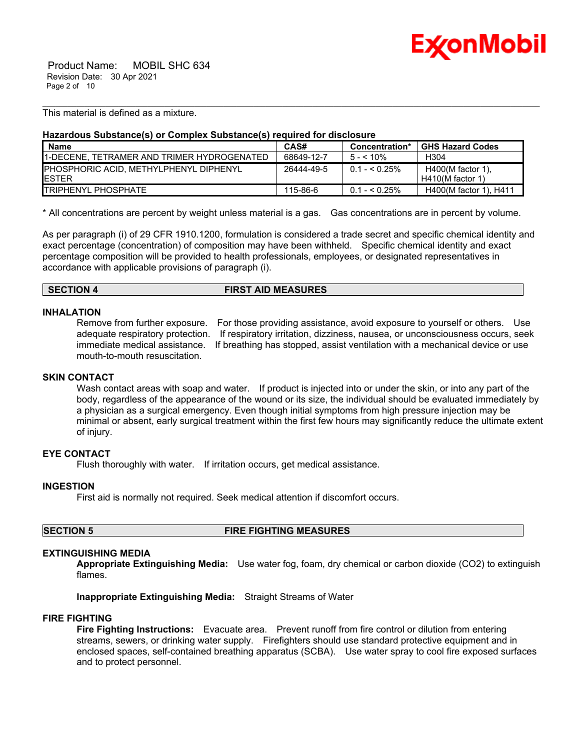

 Product Name: MOBIL SHC 634 Revision Date: 30 Apr 2021 Page 2 of 10

This material is defined as a mixture.

#### **Hazardous Substance(s) or Complex Substance(s) required for disclosure**

| <b>Name</b>                                                     | CAS#       | Concentration* | <b>GHS Hazard Codes</b>                   |
|-----------------------------------------------------------------|------------|----------------|-------------------------------------------|
| 11-DECENE. TETRAMER AND TRIMER HYDROGENATED                     | 68649-12-7 | $5 - 5.10\%$   | H304                                      |
| <b>IPHOSPHORIC ACID. METHYLPHENYL DIPHENYL</b><br><b>IESTER</b> | 26444-49-5 | $0.1 - 5.25\%$ | $H400(M$ factor 1).<br>$H410(M$ factor 1) |
| <b>ITRIPHENYL PHOSPHATE</b>                                     | 115-86-6   | $0.1 - 5.25\%$ | H400(M factor 1), H411                    |

\_\_\_\_\_\_\_\_\_\_\_\_\_\_\_\_\_\_\_\_\_\_\_\_\_\_\_\_\_\_\_\_\_\_\_\_\_\_\_\_\_\_\_\_\_\_\_\_\_\_\_\_\_\_\_\_\_\_\_\_\_\_\_\_\_\_\_\_\_\_\_\_\_\_\_\_\_\_\_\_\_\_\_\_\_\_\_\_\_\_\_\_\_\_\_\_\_\_\_\_\_\_\_\_\_\_\_\_\_\_\_\_\_\_\_\_\_\_

\* All concentrations are percent by weight unless material is a gas. Gas concentrations are in percent by volume.

As per paragraph (i) of 29 CFR 1910.1200, formulation is considered a trade secret and specific chemical identity and exact percentage (concentration) of composition may have been withheld. Specific chemical identity and exact percentage composition will be provided to health professionals, employees, or designated representatives in accordance with applicable provisions of paragraph (i).

#### **SECTION 4 FIRST AID MEASURES**

#### **INHALATION**

Remove from further exposure. For those providing assistance, avoid exposure to yourself or others. Use adequate respiratory protection. If respiratory irritation, dizziness, nausea, or unconsciousness occurs, seek immediate medical assistance. If breathing has stopped, assist ventilation with a mechanical device or use mouth-to-mouth resuscitation.

#### **SKIN CONTACT**

Wash contact areas with soap and water. If product is injected into or under the skin, or into any part of the body, regardless of the appearance of the wound or its size, the individual should be evaluated immediately by a physician as a surgical emergency. Even though initial symptoms from high pressure injection may be minimal or absent, early surgical treatment within the first few hours may significantly reduce the ultimate extent of injury.

#### **EYE CONTACT**

Flush thoroughly with water. If irritation occurs, get medical assistance.

#### **INGESTION**

First aid is normally not required. Seek medical attention if discomfort occurs.

**SECTION 5 FIRE FIGHTING MEASURES** 

#### **EXTINGUISHING MEDIA**

**Appropriate Extinguishing Media:** Use water fog, foam, dry chemical or carbon dioxide (CO2) to extinguish flames.

**Inappropriate Extinguishing Media:** Straight Streams of Water

#### **FIRE FIGHTING**

**Fire Fighting Instructions:** Evacuate area. Prevent runoff from fire control or dilution from entering streams, sewers, or drinking water supply. Firefighters should use standard protective equipment and in enclosed spaces, self-contained breathing apparatus (SCBA). Use water spray to cool fire exposed surfaces and to protect personnel.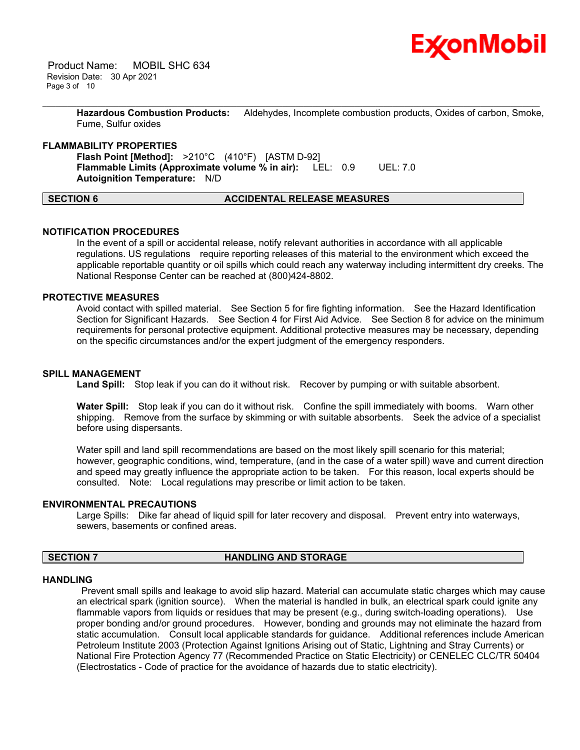

 Product Name: MOBIL SHC 634 Revision Date: 30 Apr 2021 Page 3 of 10

> **Hazardous Combustion Products:** Aldehydes, Incomplete combustion products, Oxides of carbon, Smoke, Fume, Sulfur oxides

\_\_\_\_\_\_\_\_\_\_\_\_\_\_\_\_\_\_\_\_\_\_\_\_\_\_\_\_\_\_\_\_\_\_\_\_\_\_\_\_\_\_\_\_\_\_\_\_\_\_\_\_\_\_\_\_\_\_\_\_\_\_\_\_\_\_\_\_\_\_\_\_\_\_\_\_\_\_\_\_\_\_\_\_\_\_\_\_\_\_\_\_\_\_\_\_\_\_\_\_\_\_\_\_\_\_\_\_\_\_\_\_\_\_\_\_\_\_

#### **FLAMMABILITY PROPERTIES**

**Flash Point [Method]:** >210°C (410°F) [ASTM D-92] **Flammable Limits (Approximate volume % in air):** LEL: 0.9 UEL: 7.0 **Autoignition Temperature:** N/D

**SECTION 6 ACCIDENTAL RELEASE MEASURES** 

# **NOTIFICATION PROCEDURES**

In the event of a spill or accidental release, notify relevant authorities in accordance with all applicable regulations. US regulations require reporting releases of this material to the environment which exceed the applicable reportable quantity or oil spills which could reach any waterway including intermittent dry creeks. The National Response Center can be reached at (800)424-8802.

#### **PROTECTIVE MEASURES**

Avoid contact with spilled material. See Section 5 for fire fighting information. See the Hazard Identification Section for Significant Hazards. See Section 4 for First Aid Advice. See Section 8 for advice on the minimum requirements for personal protective equipment. Additional protective measures may be necessary, depending on the specific circumstances and/or the expert judgment of the emergency responders.

#### **SPILL MANAGEMENT**

Land Spill: Stop leak if you can do it without risk. Recover by pumping or with suitable absorbent.

**Water Spill:** Stop leak if you can do it without risk. Confine the spill immediately with booms. Warn other shipping. Remove from the surface by skimming or with suitable absorbents. Seek the advice of a specialist before using dispersants.

Water spill and land spill recommendations are based on the most likely spill scenario for this material; however, geographic conditions, wind, temperature, (and in the case of a water spill) wave and current direction and speed may greatly influence the appropriate action to be taken. For this reason, local experts should be consulted. Note: Local regulations may prescribe or limit action to be taken.

#### **ENVIRONMENTAL PRECAUTIONS**

Large Spills: Dike far ahead of liquid spill for later recovery and disposal. Prevent entry into waterways, sewers, basements or confined areas.

### **SECTION 7 HANDLING AND STORAGE**

#### **HANDLING**

 Prevent small spills and leakage to avoid slip hazard. Material can accumulate static charges which may cause an electrical spark (ignition source). When the material is handled in bulk, an electrical spark could ignite any flammable vapors from liquids or residues that may be present (e.g., during switch-loading operations). Use proper bonding and/or ground procedures. However, bonding and grounds may not eliminate the hazard from static accumulation. Consult local applicable standards for guidance. Additional references include American Petroleum Institute 2003 (Protection Against Ignitions Arising out of Static, Lightning and Stray Currents) or National Fire Protection Agency 77 (Recommended Practice on Static Electricity) or CENELEC CLC/TR 50404 (Electrostatics - Code of practice for the avoidance of hazards due to static electricity).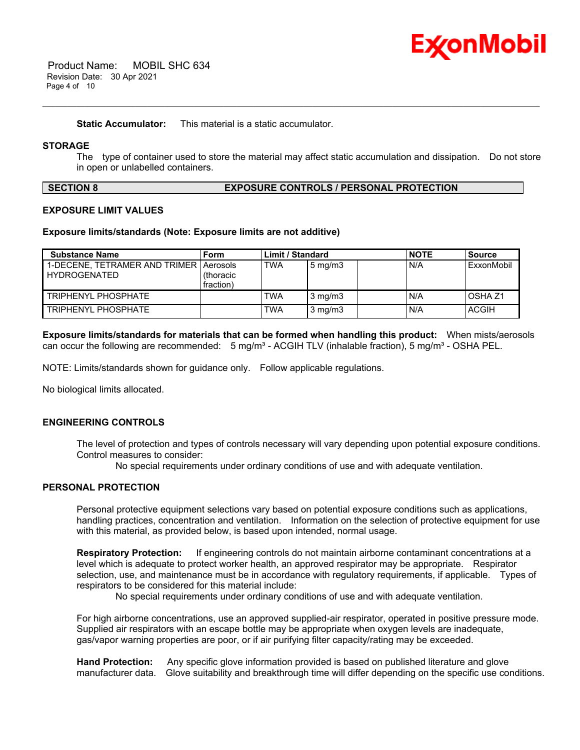

**Static Accumulator:** This material is a static accumulator.

#### **STORAGE**

The type of container used to store the material may affect static accumulation and dissipation. Do not store in open or unlabelled containers.

\_\_\_\_\_\_\_\_\_\_\_\_\_\_\_\_\_\_\_\_\_\_\_\_\_\_\_\_\_\_\_\_\_\_\_\_\_\_\_\_\_\_\_\_\_\_\_\_\_\_\_\_\_\_\_\_\_\_\_\_\_\_\_\_\_\_\_\_\_\_\_\_\_\_\_\_\_\_\_\_\_\_\_\_\_\_\_\_\_\_\_\_\_\_\_\_\_\_\_\_\_\_\_\_\_\_\_\_\_\_\_\_\_\_\_\_\_\_

### **SECTION 8 EXPOSURE CONTROLS / PERSONAL PROTECTION**

#### **EXPOSURE LIMIT VALUES**

#### **Exposure limits/standards (Note: Exposure limits are not additive)**

| <b>Substance Name</b>                                           | Form                   | <b>Limit / Standard</b> |                  | <b>NOTE</b> | Source             |
|-----------------------------------------------------------------|------------------------|-------------------------|------------------|-------------|--------------------|
| 1-DECENE. TETRAMER AND TRIMER   Aerosols<br><b>HYDROGENATED</b> | (thoracic<br>fraction) | <b>TWA</b>              | $5 \text{ mg/m}$ | N/A         | ExxonMobil         |
| <b>TRIPHENYL PHOSPHATE</b>                                      |                        | TWA                     | $3 \text{ mg/m}$ | N/A         | OSHA <sub>Z1</sub> |
| TRIPHENYL PHOSPHATE                                             |                        | TWA                     | $3 \text{ mg/m}$ | N/A         | <b>ACGIH</b>       |

**Exposure limits/standards for materials that can be formed when handling this product:** When mists/aerosols can occur the following are recommended:  $5 \text{ mg/m}^3$  - ACGIH TLV (inhalable fraction),  $5 \text{ mg/m}^3$  - OSHA PEL.

NOTE: Limits/standards shown for guidance only. Follow applicable regulations.

No biological limits allocated.

#### **ENGINEERING CONTROLS**

The level of protection and types of controls necessary will vary depending upon potential exposure conditions. Control measures to consider:

No special requirements under ordinary conditions of use and with adequate ventilation.

#### **PERSONAL PROTECTION**

Personal protective equipment selections vary based on potential exposure conditions such as applications, handling practices, concentration and ventilation. Information on the selection of protective equipment for use with this material, as provided below, is based upon intended, normal usage.

**Respiratory Protection:** If engineering controls do not maintain airborne contaminant concentrations at a level which is adequate to protect worker health, an approved respirator may be appropriate. Respirator selection, use, and maintenance must be in accordance with regulatory requirements, if applicable. Types of respirators to be considered for this material include:

No special requirements under ordinary conditions of use and with adequate ventilation.

For high airborne concentrations, use an approved supplied-air respirator, operated in positive pressure mode. Supplied air respirators with an escape bottle may be appropriate when oxygen levels are inadequate, gas/vapor warning properties are poor, or if air purifying filter capacity/rating may be exceeded.

**Hand Protection:** Any specific glove information provided is based on published literature and glove manufacturer data. Glove suitability and breakthrough time will differ depending on the specific use conditions.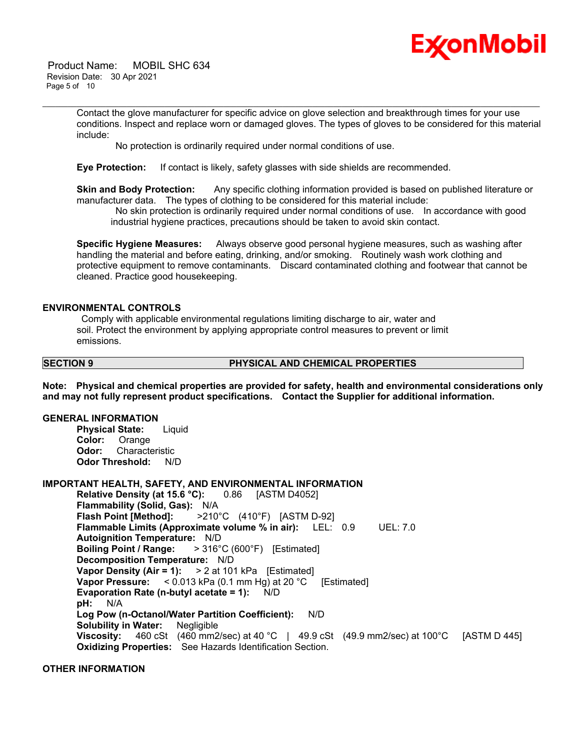

 Product Name: MOBIL SHC 634 Revision Date: 30 Apr 2021 Page 5 of 10

> Contact the glove manufacturer for specific advice on glove selection and breakthrough times for your use conditions. Inspect and replace worn or damaged gloves. The types of gloves to be considered for this material include:

\_\_\_\_\_\_\_\_\_\_\_\_\_\_\_\_\_\_\_\_\_\_\_\_\_\_\_\_\_\_\_\_\_\_\_\_\_\_\_\_\_\_\_\_\_\_\_\_\_\_\_\_\_\_\_\_\_\_\_\_\_\_\_\_\_\_\_\_\_\_\_\_\_\_\_\_\_\_\_\_\_\_\_\_\_\_\_\_\_\_\_\_\_\_\_\_\_\_\_\_\_\_\_\_\_\_\_\_\_\_\_\_\_\_\_\_\_\_

No protection is ordinarily required under normal conditions of use.

**Eye Protection:** If contact is likely, safety glasses with side shields are recommended.

**Skin and Body Protection:** Any specific clothing information provided is based on published literature or manufacturer data. The types of clothing to be considered for this material include:

 No skin protection is ordinarily required under normal conditions of use. In accordance with good industrial hygiene practices, precautions should be taken to avoid skin contact.

**Specific Hygiene Measures:** Always observe good personal hygiene measures, such as washing after handling the material and before eating, drinking, and/or smoking. Routinely wash work clothing and protective equipment to remove contaminants. Discard contaminated clothing and footwear that cannot be cleaned. Practice good housekeeping.

#### **ENVIRONMENTAL CONTROLS**

 Comply with applicable environmental regulations limiting discharge to air, water and soil. Protect the environment by applying appropriate control measures to prevent or limit emissions.

#### **SECTION 9 PHYSICAL AND CHEMICAL PROPERTIES**

**Note: Physical and chemical properties are provided for safety, health and environmental considerations only and may not fully represent product specifications. Contact the Supplier for additional information.**

### **GENERAL INFORMATION**

**Physical State:** Liquid **Color:** Orange **Odor:** Characteristic **Odor Threshold:** N/D

### **IMPORTANT HEALTH, SAFETY, AND ENVIRONMENTAL INFORMATION**

**Relative Density (at 15.6 °C):** 0.86 [ASTM D4052] **Flammability (Solid, Gas):** N/A **Flash Point [Method]:** >210°C (410°F) [ASTM D-92] **Flammable Limits (Approximate volume % in air):** LEL: 0.9 UEL: 7.0 **Autoignition Temperature:** N/D **Boiling Point / Range:** > 316°C (600°F) [Estimated] **Decomposition Temperature:** N/D **Vapor Density (Air = 1):** > 2 at 101 kPa [Estimated] **Vapor Pressure:** < 0.013 kPa (0.1 mm Hg) at 20 °C [Estimated] **Evaporation Rate (n-butyl acetate = 1):** N/D **pH:** N/A **Log Pow (n-Octanol/Water Partition Coefficient):** N/D **Solubility in Water:** Negligible **Viscosity:** 460 cSt (460 mm2/sec) at 40 °C | 49.9 cSt (49.9 mm2/sec) at 100°C [ASTM D 445] **Oxidizing Properties:** See Hazards Identification Section.

#### **OTHER INFORMATION**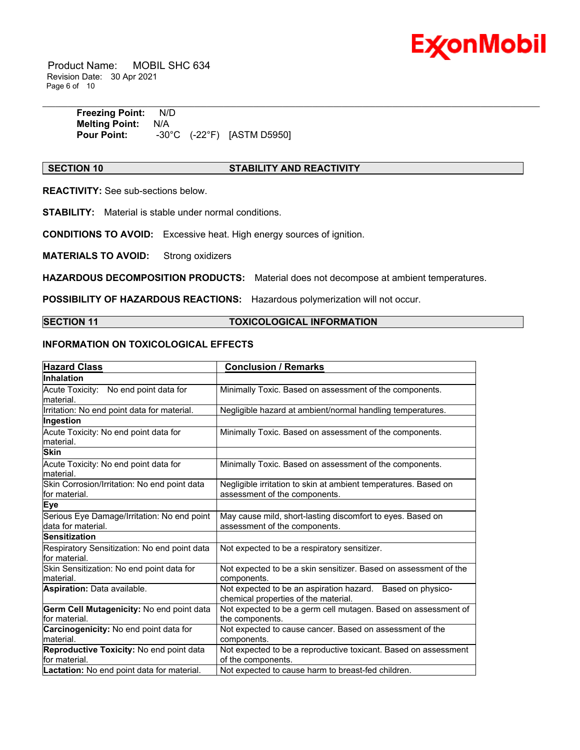

 Product Name: MOBIL SHC 634 Revision Date: 30 Apr 2021 Page 6 of 10

> **Freezing Point:** N/D **Melting Point:** N/A **Pour Point:** -30°C (-22°F) [ASTM D5950]

#### **SECTION 10 STABILITY AND REACTIVITY**

\_\_\_\_\_\_\_\_\_\_\_\_\_\_\_\_\_\_\_\_\_\_\_\_\_\_\_\_\_\_\_\_\_\_\_\_\_\_\_\_\_\_\_\_\_\_\_\_\_\_\_\_\_\_\_\_\_\_\_\_\_\_\_\_\_\_\_\_\_\_\_\_\_\_\_\_\_\_\_\_\_\_\_\_\_\_\_\_\_\_\_\_\_\_\_\_\_\_\_\_\_\_\_\_\_\_\_\_\_\_\_\_\_\_\_\_\_\_

**REACTIVITY:** See sub-sections below.

**STABILITY:** Material is stable under normal conditions.

**CONDITIONS TO AVOID:** Excessive heat. High energy sources of ignition.

**MATERIALS TO AVOID:** Strong oxidizers

**HAZARDOUS DECOMPOSITION PRODUCTS:** Material does not decompose at ambient temperatures.

**POSSIBILITY OF HAZARDOUS REACTIONS:** Hazardous polymerization will not occur.

#### **SECTION 11 TOXICOLOGICAL INFORMATION**

#### **INFORMATION ON TOXICOLOGICAL EFFECTS**

| <b>Hazard Class</b>                                               | <b>Conclusion / Remarks</b>                                                                        |  |  |
|-------------------------------------------------------------------|----------------------------------------------------------------------------------------------------|--|--|
| Inhalation                                                        |                                                                                                    |  |  |
| Acute Toxicity: No end point data for<br>material.                | Minimally Toxic. Based on assessment of the components.                                            |  |  |
| Irritation: No end point data for material.                       | Negligible hazard at ambient/normal handling temperatures.                                         |  |  |
| Ingestion                                                         |                                                                                                    |  |  |
| Acute Toxicity: No end point data for<br>material.                | Minimally Toxic. Based on assessment of the components.                                            |  |  |
| <b>Skin</b>                                                       |                                                                                                    |  |  |
| Acute Toxicity: No end point data for<br>material.                | Minimally Toxic. Based on assessment of the components.                                            |  |  |
| Skin Corrosion/Irritation: No end point data<br>for material.     | Negligible irritation to skin at ambient temperatures. Based on<br>assessment of the components.   |  |  |
| <b>Eye</b>                                                        |                                                                                                    |  |  |
| Serious Eye Damage/Irritation: No end point<br>data for material. | May cause mild, short-lasting discomfort to eyes. Based on<br>assessment of the components.        |  |  |
| <b>Sensitization</b>                                              |                                                                                                    |  |  |
| Respiratory Sensitization: No end point data<br>for material.     | Not expected to be a respiratory sensitizer.                                                       |  |  |
| Skin Sensitization: No end point data for<br>material.            | Not expected to be a skin sensitizer. Based on assessment of the<br>components.                    |  |  |
| Aspiration: Data available.                                       | Not expected to be an aspiration hazard. Based on physico-<br>chemical properties of the material. |  |  |
| Germ Cell Mutagenicity: No end point data<br>for material.        | Not expected to be a germ cell mutagen. Based on assessment of<br>the components.                  |  |  |
| Carcinogenicity: No end point data for<br>material.               | Not expected to cause cancer. Based on assessment of the<br>components.                            |  |  |
| Reproductive Toxicity: No end point data<br>for material.         | Not expected to be a reproductive toxicant. Based on assessment<br>of the components.              |  |  |
| Lactation: No end point data for material.                        | Not expected to cause harm to breast-fed children.                                                 |  |  |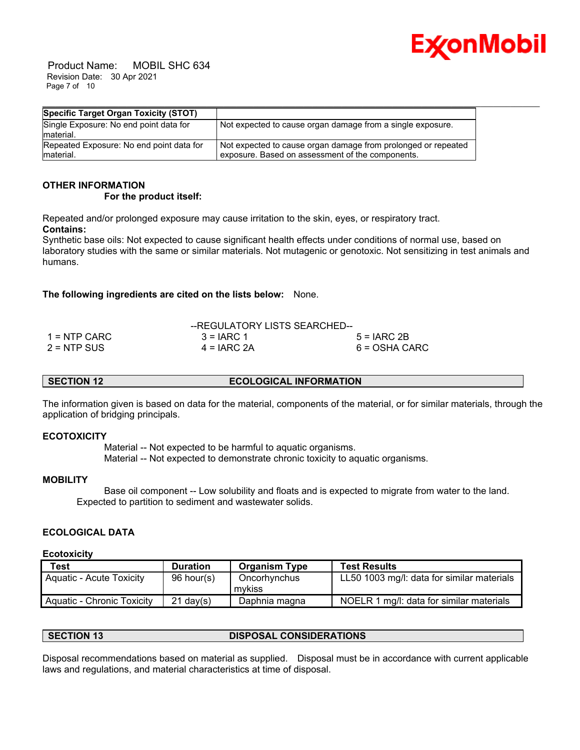

 Product Name: MOBIL SHC 634 Revision Date: 30 Apr 2021 Page 7 of 10

| Specific Target Organ Toxicity (STOT)               |                                                               |
|-----------------------------------------------------|---------------------------------------------------------------|
| Single Exposure: No end point data for<br>material. | Not expected to cause organ damage from a single exposure.    |
| Repeated Exposure: No end point data for            | Not expected to cause organ damage from prolonged or repeated |
| material.                                           | exposure. Based on assessment of the components.              |

## **OTHER INFORMATION**

 **For the product itself:** 

Repeated and/or prolonged exposure may cause irritation to the skin, eyes, or respiratory tract. **Contains:**

Synthetic base oils: Not expected to cause significant health effects under conditions of normal use, based on laboratory studies with the same or similar materials. Not mutagenic or genotoxic. Not sensitizing in test animals and humans.

### **The following ingredients are cited on the lists below:** None.

|               | --REGULATORY LISTS SEARCHED-- |               |
|---------------|-------------------------------|---------------|
| 1 = NTP CARC  | $3 = IARC 1$                  | $5 = IARC 2B$ |
| $2 =$ NTP SUS | $4 = IARC 2A$                 | 6 = OSHA CARC |

### **SECTION 12 ECOLOGICAL INFORMATION**

The information given is based on data for the material, components of the material, or for similar materials, through the application of bridging principals.

#### **ECOTOXICITY**

 Material -- Not expected to be harmful to aquatic organisms. Material -- Not expected to demonstrate chronic toxicity to aquatic organisms.

#### **MOBILITY**

 Base oil component -- Low solubility and floats and is expected to migrate from water to the land. Expected to partition to sediment and wastewater solids.

### **ECOLOGICAL DATA**

#### **Ecotoxicity**

| <b>Test</b>                | <b>Duration</b> | <b>Organism Type</b> | <b>Test Results</b>                        |
|----------------------------|-----------------|----------------------|--------------------------------------------|
| Aquatic - Acute Toxicity   | 96 hour(s)      | Oncorhynchus         | LL50 1003 mg/l: data for similar materials |
|                            |                 | mvkiss               |                                            |
| Aquatic - Chronic Toxicity | $21$ dav $(s)$  | Daphnia magna        | NOELR 1 mg/l: data for similar materials   |

### **SECTION 13 DISPOSAL CONSIDERATIONS**

Disposal recommendations based on material as supplied. Disposal must be in accordance with current applicable laws and regulations, and material characteristics at time of disposal.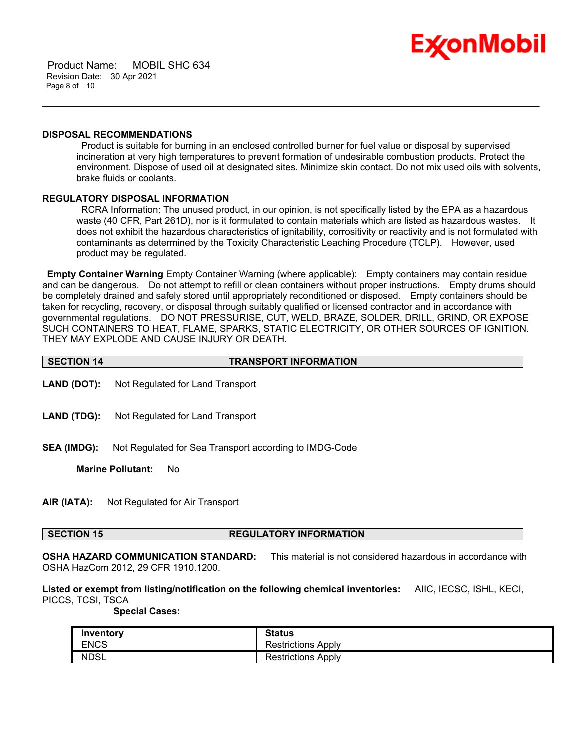

 Product Name: MOBIL SHC 634 Revision Date: 30 Apr 2021 Page 8 of 10

#### **DISPOSAL RECOMMENDATIONS**

 Product is suitable for burning in an enclosed controlled burner for fuel value or disposal by supervised incineration at very high temperatures to prevent formation of undesirable combustion products. Protect the environment. Dispose of used oil at designated sites. Minimize skin contact. Do not mix used oils with solvents, brake fluids or coolants.

\_\_\_\_\_\_\_\_\_\_\_\_\_\_\_\_\_\_\_\_\_\_\_\_\_\_\_\_\_\_\_\_\_\_\_\_\_\_\_\_\_\_\_\_\_\_\_\_\_\_\_\_\_\_\_\_\_\_\_\_\_\_\_\_\_\_\_\_\_\_\_\_\_\_\_\_\_\_\_\_\_\_\_\_\_\_\_\_\_\_\_\_\_\_\_\_\_\_\_\_\_\_\_\_\_\_\_\_\_\_\_\_\_\_\_\_\_\_

#### **REGULATORY DISPOSAL INFORMATION**

 RCRA Information: The unused product, in our opinion, is not specifically listed by the EPA as a hazardous waste (40 CFR, Part 261D), nor is it formulated to contain materials which are listed as hazardous wastes. It does not exhibit the hazardous characteristics of ignitability, corrositivity or reactivity and is not formulated with contaminants as determined by the Toxicity Characteristic Leaching Procedure (TCLP). However, used product may be regulated.

**Empty Container Warning** Empty Container Warning (where applicable): Empty containers may contain residue and can be dangerous. Do not attempt to refill or clean containers without proper instructions. Empty drums should be completely drained and safely stored until appropriately reconditioned or disposed. Empty containers should be taken for recycling, recovery, or disposal through suitably qualified or licensed contractor and in accordance with governmental regulations. DO NOT PRESSURISE, CUT, WELD, BRAZE, SOLDER, DRILL, GRIND, OR EXPOSE SUCH CONTAINERS TO HEAT, FLAME, SPARKS, STATIC ELECTRICITY, OR OTHER SOURCES OF IGNITION. THEY MAY EXPLODE AND CAUSE INJURY OR DEATH.

- **LAND (DOT):** Not Regulated for Land Transport
- **LAND (TDG):** Not Regulated for Land Transport
- **SEA (IMDG):** Not Regulated for Sea Transport according to IMDG-Code

**Marine Pollutant:** No

**AIR (IATA):** Not Regulated for Air Transport

#### **SECTION 15 REGULATORY INFORMATION**

**OSHA HAZARD COMMUNICATION STANDARD:** This material is not considered hazardous in accordance with OSHA HazCom 2012, 29 CFR 1910.1200.

**Listed or exempt from listing/notification on the following chemical inventories:** AIIC, IECSC, ISHL, KECI, PICCS, TCSI, TSCA

 **Special Cases:**

| Inventory   | <b>Status</b>             |
|-------------|---------------------------|
| <b>ENCS</b> | <b>Restrictions Apply</b> |
| <b>NDSL</b> | <b>Restrictions Apply</b> |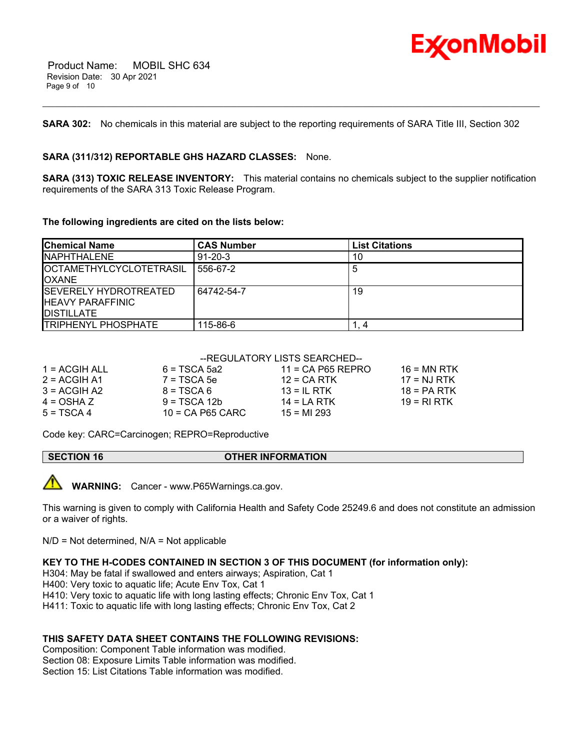

**SARA 302:** No chemicals in this material are subject to the reporting requirements of SARA Title III, Section 302

\_\_\_\_\_\_\_\_\_\_\_\_\_\_\_\_\_\_\_\_\_\_\_\_\_\_\_\_\_\_\_\_\_\_\_\_\_\_\_\_\_\_\_\_\_\_\_\_\_\_\_\_\_\_\_\_\_\_\_\_\_\_\_\_\_\_\_\_\_\_\_\_\_\_\_\_\_\_\_\_\_\_\_\_\_\_\_\_\_\_\_\_\_\_\_\_\_\_\_\_\_\_\_\_\_\_\_\_\_\_\_\_\_\_\_\_\_\_

#### **SARA (311/312) REPORTABLE GHS HAZARD CLASSES:** None.

**SARA (313) TOXIC RELEASE INVENTORY:** This material contains no chemicals subject to the supplier notification requirements of the SARA 313 Toxic Release Program.

#### **The following ingredients are cited on the lists below:**

| <b>Chemical Name</b>                                                           | <b>CAS Number</b> | <b>List Citations</b> |
|--------------------------------------------------------------------------------|-------------------|-----------------------|
| INAPHTHAL FNF                                                                  | $91 - 20 - 3$     | 10                    |
| <b>IOCTAMETHYLCYCLOTETRASIL</b><br><b>IOXANE</b>                               | 556-67-2          | 5                     |
| <b>ISEVERELY HYDROTREATED</b><br><b>HEAVY PARAFFINIC</b><br><b>IDISTILLATE</b> | 64742-54-7        | 19                    |
| <b>TRIPHENYL PHOSPHATE</b>                                                     | 115-86-6          |                       |

#### --REGULATORY LISTS SEARCHED--

| $1 = ACGIH ALL$ | $6 = TSCA$ 5a2     | $11 = CA$ P65 REPRO | 16 = MN RTK   |
|-----------------|--------------------|---------------------|---------------|
| $2 = ACGIH A1$  | $7 = TSCA5e$       | $12$ = CA RTK       | $17 = NJ RTK$ |
| $3 = ACGH A2$   | $8 = TSCA6$        | 13 = IL RTK         | $18 = PA RTK$ |
| 4 = OSHA Z      | $9 = TSCA 12b$     | $14 = I A RTK$      | 19 = RLRTK    |
| $5 = TSCA4$     | $10$ = CA P65 CARC | $15 = M1293$        |               |
|                 |                    |                     |               |

Code key: CARC=Carcinogen; REPRO=Reproductive

#### **SECTION 16 OTHER INFORMATION**



**WARNING:** Cancer - www.P65Warnings.ca.gov.

This warning is given to comply with California Health and Safety Code 25249.6 and does not constitute an admission or a waiver of rights.

 $N/D = Not determined$ ,  $N/A = Not applicable$ 

#### **KEY TO THE H-CODES CONTAINED IN SECTION 3 OF THIS DOCUMENT (for information only):**

H304: May be fatal if swallowed and enters airways; Aspiration, Cat 1

H400: Very toxic to aquatic life; Acute Env Tox, Cat 1

H410: Very toxic to aquatic life with long lasting effects; Chronic Env Tox, Cat 1

H411: Toxic to aquatic life with long lasting effects; Chronic Env Tox, Cat 2

#### **THIS SAFETY DATA SHEET CONTAINS THE FOLLOWING REVISIONS:**

Composition: Component Table information was modified. Section 08: Exposure Limits Table information was modified. Section 15: List Citations Table information was modified.